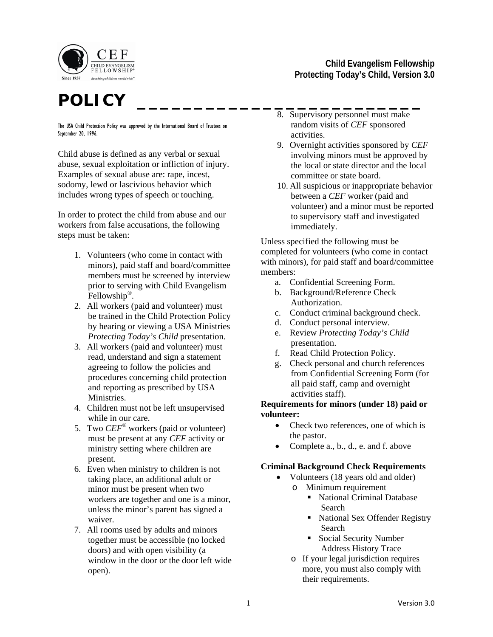

# **POLICY \_\_\_\_\_\_\_\_\_\_\_\_\_\_\_\_\_\_\_\_\_\_\_\_\_**

The USA Child Protection Policy was approved by the International Board of Trustees on September 20, 1996.

Child abuse is defined as any verbal or sexual abuse, sexual exploitation or infliction of injury. Examples of sexual abuse are: rape, incest, sodomy, lewd or lascivious behavior which includes wrong types of speech or touching.

In order to protect the child from abuse and our workers from false accusations, the following steps must be taken:

- 1. Volunteers (who come in contact with minors), paid staff and board/committee members must be screened by interview prior to serving with Child Evangelism Fellowship*®*.
- 2. All workers (paid and volunteer) must be trained in the Child Protection Policy by hearing or viewing a USA Ministries *Protecting Today's Child* presentation.
- 3. All workers (paid and volunteer) must read, understand and sign a statement agreeing to follow the policies and procedures concerning child protection and reporting as prescribed by USA Ministries.
- 4. Children must not be left unsupervised while in our care.
- 5. Two *CEF*® workers (paid or volunteer) must be present at any *CEF* activity or ministry setting where children are present.
- 6. Even when ministry to children is not taking place, an additional adult or minor must be present when two workers are together and one is a minor, unless the minor's parent has signed a waiver.
- 7. All rooms used by adults and minors together must be accessible (no locked doors) and with open visibility (a window in the door or the door left wide open).

# **Child Evangelism Fellowship Protecting Today's Child, Version 3.0**

- 8. Supervisory personnel must make random visits of *CEF* sponsored activities.
- 9. Overnight activities sponsored by *CEF* involving minors must be approved by the local or state director and the local committee or state board.
- 10. All suspicious or inappropriate behavior between a *CEF* worker (paid and volunteer) and a minor must be reported to supervisory staff and investigated immediately.

Unless specified the following must be completed for volunteers (who come in contact with minors), for paid staff and board/committee members:

- a. Confidential Screening Form.
- b. Background/Reference Check Authorization.
- c. Conduct criminal background check.
- d. Conduct personal interview.
- e. Review *Protecting Today's Child* presentation.
- f. Read Child Protection Policy.
- g. Check personal and church references from Confidential Screening Form (for all paid staff, camp and overnight activities staff).

#### **Requirements for minors (under 18) paid or volunteer:**

- Check two references, one of which is the pastor.
- Complete a., b., d., e. and f. above

# **Criminal Background Check Requirements**

- Volunteers (18 years old and older)
	- o Minimum requirement
		- National Criminal Database Search
		- National Sex Offender Registry Search
		- Social Security Number Address History Trace
		- o If your legal jurisdiction requires more, you must also comply with their requirements.